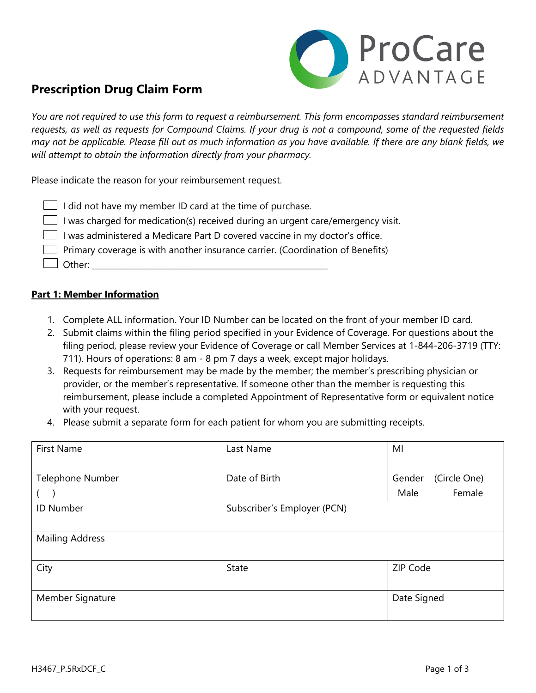

# **Prescription Drug Claim Form**

*You are not required to use this form to request a reimbursement. This form encompasses standard reimbursement requests, as well as requests for Compound Claims. If your drug is not a compound, some of the requested fields may not be applicable. Please fill out as much information as you have available. If there are any blank fields, we will attempt to obtain the information directly from your pharmacy.*

Please indicate the reason for your reimbursement request.

| $\Box$ I did not have my member ID card at the time of purchase. |
|------------------------------------------------------------------|
|------------------------------------------------------------------|

 $\Box$  I was charged for medication(s) received during an urgent care/emergency visit.

 $\Box$  I was administered a Medicare Part D covered vaccine in my doctor's office.

 $\Box$  Primary coverage is with another insurance carrier. (Coordination of Benefits)

 $\perp$  Other:

#### **Part 1: Member Information**

- 1. Complete ALL information. Your ID Number can be located on the front of your member ID card.
- 2. Submit claims within the filing period specified in your Evidence of Coverage. For questions about the filing period, please review your Evidence of Coverage or call Member Services at 1-844-206-3719 (TTY: 711). Hours of operations: 8 am - 8 pm 7 days a week, except major holidays.
- 3. Requests for reimbursement may be made by the member; the member's prescribing physician or provider, or the member's representative. If someone other than the member is requesting this reimbursement, please include a completed Appointment of Representative form or equivalent notice with your request.
- 4. Please submit a separate form for each patient for whom you are submitting receipts.

| <b>First Name</b>      | Last Name                   | MI                     |  |
|------------------------|-----------------------------|------------------------|--|
|                        |                             |                        |  |
| Telephone Number       | Date of Birth               | (Circle One)<br>Gender |  |
|                        |                             | Female<br>Male         |  |
| <b>ID Number</b>       | Subscriber's Employer (PCN) |                        |  |
|                        |                             |                        |  |
| <b>Mailing Address</b> |                             |                        |  |
|                        |                             |                        |  |
| City                   | State                       | ZIP Code               |  |
|                        |                             |                        |  |
| Member Signature       | Date Signed                 |                        |  |
|                        |                             |                        |  |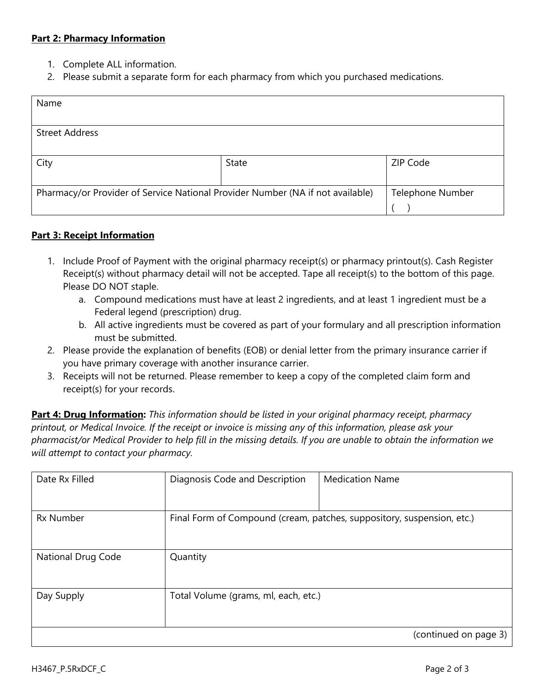#### **Part 2: Pharmacy Information**

- 1. Complete ALL information.
- 2. Please submit a separate form for each pharmacy from which you purchased medications.

| Name                                                                           |       |                         |  |
|--------------------------------------------------------------------------------|-------|-------------------------|--|
|                                                                                |       |                         |  |
| <b>Street Address</b>                                                          |       |                         |  |
|                                                                                |       |                         |  |
| City                                                                           | State | ZIP Code                |  |
|                                                                                |       |                         |  |
| Pharmacy/or Provider of Service National Provider Number (NA if not available) |       | <b>Telephone Number</b> |  |
|                                                                                |       |                         |  |

#### **Part 3: Receipt Information**

- 1. Include Proof of Payment with the original pharmacy receipt(s) or pharmacy printout(s). Cash Register Receipt(s) without pharmacy detail will not be accepted. Tape all receipt(s) to the bottom of this page. Please DO NOT staple.
	- a. Compound medications must have at least 2 ingredients, and at least 1 ingredient must be a Federal legend (prescription) drug.
	- b. All active ingredients must be covered as part of your formulary and all prescription information must be submitted.
- 2. Please provide the explanation of benefits (EOB) or denial letter from the primary insurance carrier if you have primary coverage with another insurance carrier.
- 3. Receipts will not be returned. Please remember to keep a copy of the completed claim form and receipt(s) for your records.

**Part 4: Drug Information:** *This information should be listed in your original pharmacy receipt, pharmacy printout, or Medical Invoice. If the receipt or invoice is missing any of this information, please ask your pharmacist/or Medical Provider to help fill in the missing details. If you are unable to obtain the information we will attempt to contact your pharmacy.*

| Date Rx Filled     | Diagnosis Code and Description                                         | <b>Medication Name</b> |
|--------------------|------------------------------------------------------------------------|------------------------|
| <b>Rx Number</b>   | Final Form of Compound (cream, patches, suppository, suspension, etc.) |                        |
| National Drug Code | Quantity                                                               |                        |
| Day Supply         | Total Volume (grams, ml, each, etc.)                                   |                        |
|                    |                                                                        | (continued on page 3)  |